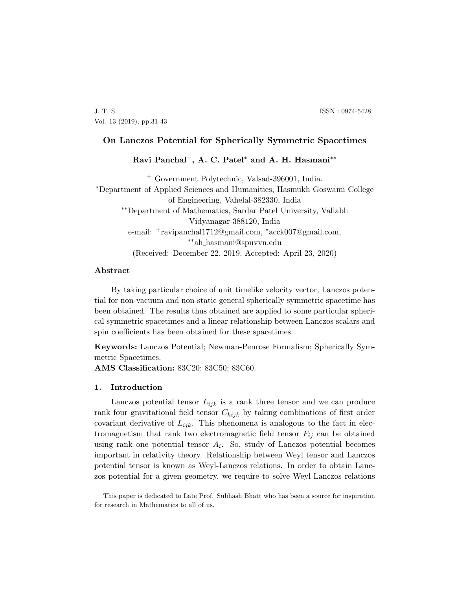J. T. S. ISSN : 0974-5428 Vol. 13 (2019), pp.31-43

# On Lanczos Potential for Spherically Symmetric Spacetimes

Ravi Panchal<sup>+</sup>, A. C. Patel<sup>\*</sup> and A. H. Hasmani<sup>\*\*</sup>

<sup>+</sup> Government Polytechnic, Valsad-396001, India. <sup>∗</sup>Department of Applied Sciences and Humanities, Hasmukh Goswami College of Engineering, Vahelal-382330, India ∗∗Department of Mathematics, Sardar Patel University, Vallabh Vidyanagar-388120, India e-mail: <sup>+</sup>ravipanchal1712@gmail.com, <sup>∗</sup>acck007@gmail.com, ∗∗ah hasmani@spuvvn.edu (Received: December 22, 2019, Accepted: April 23, 2020)

# Abstract

By taking particular choice of unit timelike velocity vector, Lanczos potential for non-vacuum and non-static general spherically symmetric spacetime has been obtained. The results thus obtained are applied to some particular spherical symmetric spacetimes and a linear relationship between Lanczos scalars and spin coefficients has been obtained for these spacetimes.

Keywords: Lanczos Potential; Newman-Penrose Formalism; Spherically Symmetric Spacetimes.

AMS Classification: 83C20; 83C50; 83C60.

#### 1. Introduction

Lanczos potential tensor  $L_{ijk}$  is a rank three tensor and we can produce rank four gravitational field tensor  $C_{hijk}$  by taking combinations of first order covariant derivative of  $L_{ijk}$ . This phenomena is analogous to the fact in electromagnetism that rank two electromagnetic field tensor  $F_{ij}$  can be obtained using rank one potential tensor  $A_i$ . So, study of Lanczos potential becomes important in relativity theory. Relationship between Weyl tensor and Lanczos potential tensor is known as Weyl-Lanczos relations. In order to obtain Lanczos potential for a given geometry, we require to solve Weyl-Lanczos relations

This paper is dedicated to Late Prof. Subhash Bhatt who has been a source for inspiration for research in Mathematics to all of us.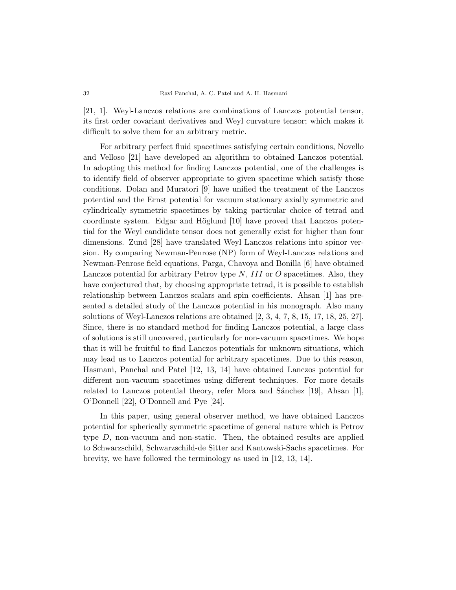[21, 1]. Weyl-Lanczos relations are combinations of Lanczos potential tensor, its first order covariant derivatives and Weyl curvature tensor; which makes it difficult to solve them for an arbitrary metric.

For arbitrary perfect fluid spacetimes satisfying certain conditions, Novello and Velloso [21] have developed an algorithm to obtained Lanczos potential. In adopting this method for finding Lanczos potential, one of the challenges is to identify field of observer appropriate to given spacetime which satisfy those conditions. Dolan and Muratori [9] have unified the treatment of the Lanczos potential and the Ernst potential for vacuum stationary axially symmetric and cylindrically symmetric spacetimes by taking particular choice of tetrad and coordinate system. Edgar and Höglund  $[10]$  have proved that Lanczos potential for the Weyl candidate tensor does not generally exist for higher than four dimensions. Zund [28] have translated Weyl Lanczos relations into spinor version. By comparing Newman-Penrose (NP) form of Weyl-Lanczos relations and Newman-Penrose field equations, Parga, Chavoya and Bonilla [6] have obtained Lanczos potential for arbitrary Petrov type  $N$ , III or O spacetimes. Also, they have conjectured that, by choosing appropriate tetrad, it is possible to establish relationship between Lanczos scalars and spin coefficients. Ahsan [1] has presented a detailed study of the Lanczos potential in his monograph. Also many solutions of Weyl-Lanczos relations are obtained [2, 3, 4, 7, 8, 15, 17, 18, 25, 27]. Since, there is no standard method for finding Lanczos potential, a large class of solutions is still uncovered, particularly for non-vacuum spacetimes. We hope that it will be fruitful to find Lanczos potentials for unknown situations, which may lead us to Lanczos potential for arbitrary spacetimes. Due to this reason, Hasmani, Panchal and Patel [12, 13, 14] have obtained Lanczos potential for different non-vacuum spacetimes using different techniques. For more details related to Lanczos potential theory, refer Mora and Sánchez  $[19]$ , Ahsan  $[1]$ , O'Donnell [22], O'Donnell and Pye [24].

In this paper, using general observer method, we have obtained Lanczos potential for spherically symmetric spacetime of general nature which is Petrov type D, non-vacuum and non-static. Then, the obtained results are applied to Schwarzschild, Schwarzschild-de Sitter and Kantowski-Sachs spacetimes. For brevity, we have followed the terminology as used in [12, 13, 14].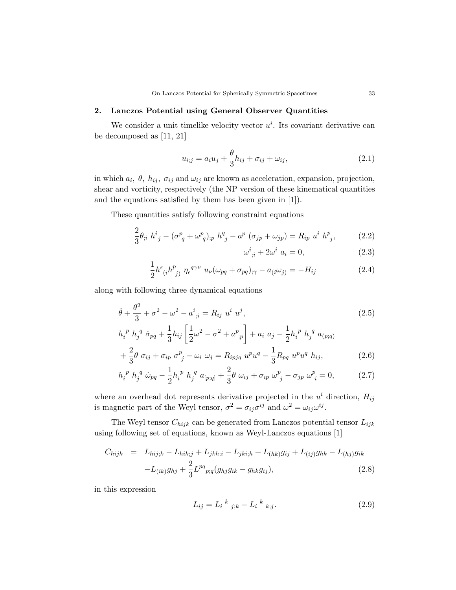## 2. Lanczos Potential using General Observer Quantities

We consider a unit timelike velocity vector  $u^i$ . Its covariant derivative can be decomposed as [11, 21]

$$
u_{i;j} = a_i u_j + \frac{\theta}{3} h_{ij} + \sigma_{ij} + \omega_{ij}, \qquad (2.1)
$$

in which  $a_i$ ,  $\theta$ ,  $h_{ij}$ ,  $\sigma_{ij}$  and  $\omega_{ij}$  are known as acceleration, expansion, projection, shear and vorticity, respectively (the NP version of these kinematical quantities and the equations satisfied by them has been given in [1]).

These quantities satisfy following constraint equations

$$
\frac{2}{3}\theta_{;i} h^i{}_j - (\sigma^p{}_q + \omega^p{}_q)_{;p} h^q{}_j - a^p (\sigma_{jp} + \omega_{jp}) = R_{ip} u^i h^p{}_j, \tag{2.2}
$$

$$
\omega^i_{\;;i} + 2\omega^i \; a_i = 0,\tag{2.3}
$$

$$
\frac{1}{2}h^{\epsilon}_{\ (i}h^{p}_{\ j)}\ \eta_{\epsilon}^{q\gamma\nu}\ u_{\nu}(\omega_{pq}+\sigma_{pq})_{;\gamma}-a_{(i}\omega_{j)}=-H_{ij}\tag{2.4}
$$

along with following three dynamical equations

$$
\dot{\theta} + \frac{\theta^2}{3} + \sigma^2 - \omega^2 - a^i_{\; ;i} = R_{ij} \; u^i \; u^j,
$$
\n(2.5)

$$
h_i^p h_j^q \dot{\sigma}_{pq} + \frac{1}{3} h_{ij} \left[ \frac{1}{2} \omega^2 - \sigma^2 + a_{;p}^p \right] + a_i \ a_j - \frac{1}{2} h_i^p h_j^q a_{(p;q)} + \frac{2}{3} \theta \ \sigma_{ij} + \sigma_{ip} \ \sigma_{j}^p - \omega_i \ \omega_j = R_{ipjq} \ u^p u^q - \frac{1}{3} R_{pq} \ u^p u^q h_{ij},
$$
 (2.6)

$$
h_i^{\ p} h_j^{\ q} \ \dot{\omega}_{pq} - \frac{1}{2} h_i^{\ p} h_j^{\ q} a_{[p;q]} + \frac{2}{3} \theta \ \omega_{ij} + \sigma_{ip} \ \omega_{\ j}^p - \sigma_{jp} \ \omega_{\ i}^p = 0, \tag{2.7}
$$

where an overhead dot represents derivative projected in the  $u^i$  direction,  $H_{ij}$ is magnetic part of the Weyl tensor,  $\sigma^2 = \sigma_{ij}\sigma^{ij}$  and  $\omega^2 = \omega_{ij}\omega^{ij}$ .

The Weyl tensor  $C_{hijk}$  can be generated from Lanczos potential tensor  $L_{ijk}$ using following set of equations, known as Weyl-Lanczos equations [1]

$$
C_{hijk} = L_{hij,k} - L_{hik;j} + L_{jkh;i} - L_{jki,h} + L_{(hk)}g_{ij} + L_{(ij)}g_{hk} - L_{(hj)}g_{ik}
$$

$$
-L_{(ik)}g_{hj} + \frac{2}{3}L^{pq}_{p;q}(g_{hj}g_{ik} - g_{hk}g_{ij}),
$$
(2.8)

in this expression

$$
L_{ij} = L_i^{k}{}_{j,k} - L_i^{k}{}_{k;j}.
$$
\n(2.9)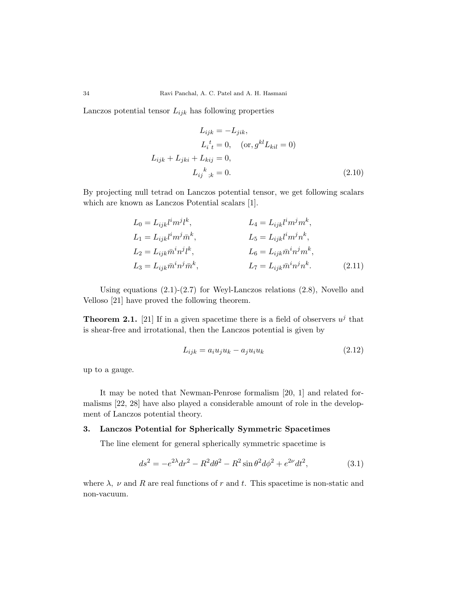Lanczos potential tensor  $L_{ijk}$  has following properties

$$
L_{ijk} = -L_{jik},
$$
  
\n
$$
L_i^t = 0, \quad (\text{or, } g^{kl} L_{kil} = 0)
$$
  
\n
$$
L_{ijk} + L_{jki} + L_{kij} = 0,
$$
  
\n
$$
L_{ij}^k_{;k} = 0.
$$
\n(2.10)

By projecting null tetrad on Lanczos potential tensor, we get following scalars which are known as Lanczos Potential scalars [1].

$$
L_0 = L_{ijk}l^im^jl^k,
$$
  
\n
$$
L_1 = L_{ijk}l^im^j\bar{m}^k,
$$
  
\n
$$
L_2 = L_{ijk}\bar{m}^in^jl^k,
$$
  
\n
$$
L_3 = L_{ijk}\bar{m}^in^j\bar{m}^k,
$$
  
\n
$$
L_4 = L_{ijk}l^im^jm^k,
$$
  
\n
$$
L_5 = L_{ijk}l^im^jn^k,
$$
  
\n
$$
L_6 = L_{ijk}\bar{m}^in^jm^k,
$$
  
\n
$$
L_7 = L_{ijk}\bar{m}^in^jn^k.
$$
  
\n(2.11)

Using equations  $(2.1)-(2.7)$  for Weyl-Lanczos relations  $(2.8)$ , Novello and Velloso [21] have proved the following theorem.

**Theorem 2.1.** [21] If in a given spacetime there is a field of observers  $u^j$  that is shear-free and irrotational, then the Lanczos potential is given by

$$
L_{ijk} = a_i u_j u_k - a_j u_i u_k \tag{2.12}
$$

up to a gauge.

It may be noted that Newman-Penrose formalism [20, 1] and related formalisms [22, 28] have also played a considerable amount of role in the development of Lanczos potential theory.

### 3. Lanczos Potential for Spherically Symmetric Spacetimes

The line element for general spherically symmetric spacetime is

$$
ds^{2} = -e^{2\lambda}dr^{2} - R^{2}d\theta^{2} - R^{2}\sin\theta^{2}d\phi^{2} + e^{2\nu}dt^{2},
$$
\n(3.1)

where  $\lambda$ ,  $\nu$  and R are real functions of r and t. This spacetime is non-static and non-vacuum.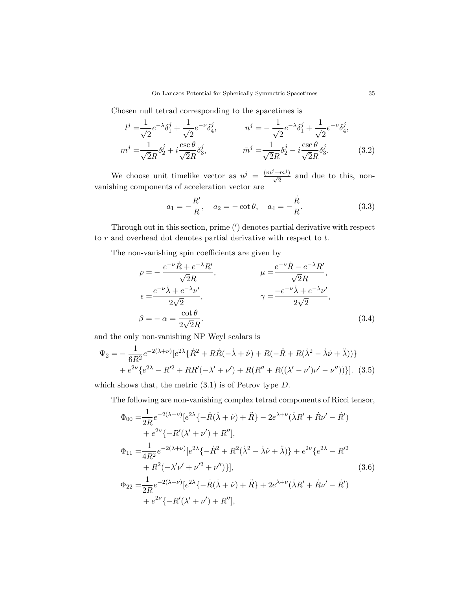Chosen null tetrad corresponding to the spacetimes is

$$
l^{j} = \frac{1}{\sqrt{2}} e^{-\lambda} \delta_{1}^{j} + \frac{1}{\sqrt{2}} e^{-\nu} \delta_{4}^{j}, \qquad n^{j} = -\frac{1}{\sqrt{2}} e^{-\lambda} \delta_{1}^{j} + \frac{1}{\sqrt{2}} e^{-\nu} \delta_{4}^{j},
$$
  
\n
$$
m^{j} = \frac{1}{\sqrt{2}R} \delta_{2}^{j} + i \frac{\csc \theta}{\sqrt{2}R} \delta_{3}^{j}, \qquad \bar{m}^{j} = \frac{1}{\sqrt{2}R} \delta_{2}^{j} - i \frac{\csc \theta}{\sqrt{2}R} \delta_{3}^{j}.
$$
 (3.2)

We choose unit timelike vector as  $u^j = \frac{(m^j - \bar{m}^j)}{\sqrt{2}}$  and due to this, nonvanishing components of acceleration vector are

$$
a_1 = -\frac{R'}{R}
$$
,  $a_2 = -\cot \theta$ ,  $a_4 = -\frac{\dot{R}}{R}$ . (3.3)

Through out in this section, prime  $(')$  denotes partial derivative with respect to  $r$  and overhead dot denotes partial derivative with respect to  $t$ .

The non-vanishing spin coefficients are given by

$$
\rho = -\frac{e^{-\nu}\dot{R} + e^{-\lambda}R'}{\sqrt{2}R}, \qquad \mu = \frac{e^{-\nu}\dot{R} - e^{-\lambda}R'}{\sqrt{2}R},
$$
  
\n
$$
\epsilon = \frac{e^{-\nu}\dot{\lambda} + e^{-\lambda}\nu'}{2\sqrt{2}}, \qquad \gamma = \frac{-e^{-\nu}\dot{\lambda} + e^{-\lambda}\nu'}{2\sqrt{2}},
$$
  
\n
$$
\beta = -\alpha = \frac{\cot\theta}{2\sqrt{2}R}.
$$
\n(3.4)

and the only non-vanishing NP Weyl scalars is

$$
\Psi_2 = -\frac{1}{6R^2} e^{-2(\lambda+\nu)} [e^{2\lambda} \{\dot{R}^2 + R\dot{R}(-\dot{\lambda}+\dot{\nu}) + R(-\ddot{R}+R(\dot{\lambda}^2-\dot{\lambda}\dot{\nu}+\ddot{\lambda}))\} \n+ e^{2\nu} \{e^{2\lambda} - R'^2 + RR'(-\lambda'+\nu') + R(R'' + R((\lambda'-\nu')\nu'-\nu''))\}].
$$
\n(3.5)

which shows that, the metric  $(3.1)$  is of Petrov type D.

The following are non-vanishing complex tetrad components of Ricci tensor,

$$
\Phi_{00} = \frac{1}{2R} e^{-2(\lambda+\nu)} [e^{2\lambda} \{ -\dot{R}(\dot{\lambda} + \dot{\nu}) + \ddot{R} \} - 2e^{\lambda+\nu} (\dot{\lambda}R' + \dot{R}\nu' - \dot{R}') \n+ e^{2\nu} \{ -R'(\lambda' + \nu') + R'' \}, \n\Phi_{11} = \frac{1}{4R^2} e^{-2(\lambda+\nu)} [e^{2\lambda} \{ -\dot{R}^2 + R^2(\dot{\lambda}^2 - \dot{\lambda}\dot{\nu} + \ddot{\lambda}) \} + e^{2\nu} \{ e^{2\lambda} - R'^2 \n+ R^2(-\lambda'\nu' + \nu'^2 + \nu'') \}], \n\Phi_{22} = \frac{1}{2R} e^{-2(\lambda+\nu)} [e^{2\lambda} \{ -\dot{R}(\dot{\lambda} + \dot{\nu}) + \ddot{R} \} + 2e^{\lambda+\nu} (\dot{\lambda}R' + \dot{R}\nu' - \dot{R}') \n+ e^{2\nu} \{ -R'(\lambda' + \nu') + R'' \},
$$
\n(3.6)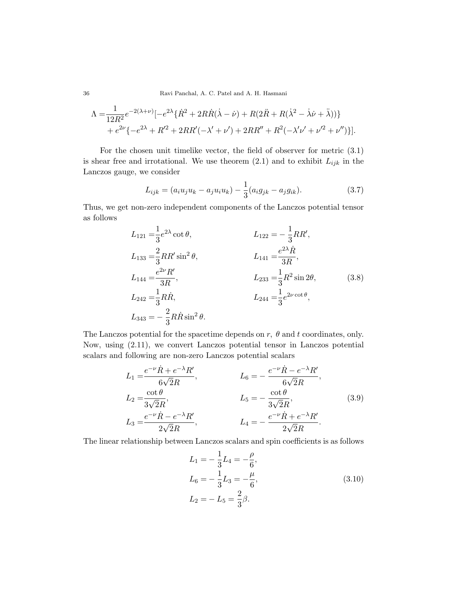36 Ravi Panchal, A. C. Patel and A. H. Hasmani

$$
\Lambda = \frac{1}{12R^2} e^{-2(\lambda + \nu)} \left[ -e^{2\lambda} \{ \dot{R}^2 + 2R\dot{R}(\dot{\lambda} - \dot{\nu}) + R(2\ddot{R} + R(\dot{\lambda}^2 - \dot{\lambda}\dot{\nu} + \ddot{\lambda})) \} + e^{2\nu} \{ -e^{2\lambda} + R'^2 + 2RR'(-\lambda' + \nu') + 2RR'' + R^2(-\lambda'\nu' + \nu'^2 + \nu'') \} \right].
$$

For the chosen unit timelike vector, the field of observer for metric (3.1) is shear free and irrotational. We use theorem  $(2.1)$  and to exhibit  $L_{ijk}$  in the Lanczos gauge, we consider

$$
L_{ijk} = (a_i u_j u_k - a_j u_i u_k) - \frac{1}{3} (a_i g_{jk} - a_j g_{ik}).
$$
\n(3.7)

Thus, we get non-zero independent components of the Lanczos potential tensor as follows

$$
L_{121} = \frac{1}{3}e^{2\lambda}\cot\theta, \qquad L_{122} = -\frac{1}{3}RR',
$$
  
\n
$$
L_{133} = \frac{2}{3}RR'\sin^2\theta, \qquad L_{141} = \frac{e^{2\lambda}\dot{R}}{3R},
$$
  
\n
$$
L_{144} = \frac{e^{2\nu}R'}{3R}, \qquad L_{233} = \frac{1}{3}R^2\sin 2\theta,
$$
  
\n
$$
L_{242} = \frac{1}{3}R\dot{R}, \qquad L_{244} = \frac{1}{3}e^{2\nu\cot\theta},
$$
  
\n
$$
L_{343} = -\frac{2}{3}R\dot{R}\sin^2\theta.
$$
  
\n(3.8)

The Lanczos potential for the spacetime depends on  $r$ ,  $\theta$  and  $t$  coordinates, only. Now, using (2.11), we convert Lanczos potential tensor in Lanczos potential scalars and following are non-zero Lanczos potential scalars

$$
L_1 = \frac{e^{-\nu}\dot{R} + e^{-\lambda}R'}{6\sqrt{2}R},
$$
  
\n
$$
L_2 = \frac{\cot\theta}{3\sqrt{2}R},
$$
  
\n
$$
L_3 = \frac{e^{-\nu}\dot{R} - e^{-\lambda}R'}{2\sqrt{2}R},
$$
  
\n
$$
L_4 = -\frac{e^{-\nu}\dot{R} + e^{-\lambda}R'}{2\sqrt{2}R}.
$$
  
\n(3.9)

The linear relationship between Lanczos scalars and spin coefficients is as follows

$$
L_1 = -\frac{1}{3}L_4 = -\frac{\rho}{6},
$$
  
\n
$$
L_6 = -\frac{1}{3}L_3 = -\frac{\mu}{6},
$$
  
\n
$$
L_2 = -L_5 = \frac{2}{3}\beta.
$$
\n(3.10)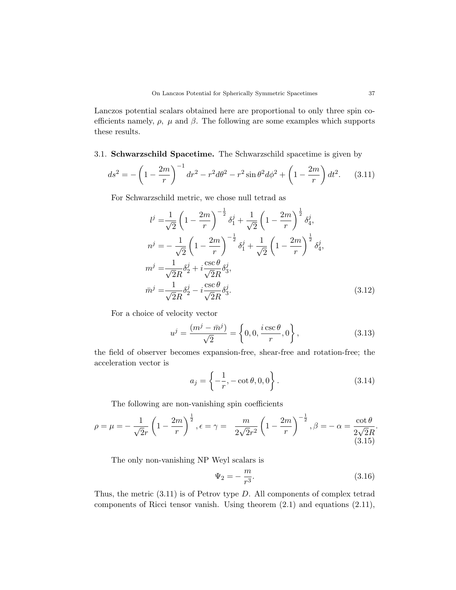Lanczos potential scalars obtained here are proportional to only three spin coefficients namely,  $\rho$ ,  $\mu$  and  $\beta$ . The following are some examples which supports these results.

## 3.1. Schwarzschild Spacetime. The Schwarzschild spacetime is given by

$$
ds^{2} = -\left(1 - \frac{2m}{r}\right)^{-1} dr^{2} - r^{2} d\theta^{2} - r^{2} \sin \theta^{2} d\phi^{2} + \left(1 - \frac{2m}{r}\right) dt^{2}.
$$
 (3.11)

For Schwarzschild metric, we chose null tetrad as

$$
l^{j} = \frac{1}{\sqrt{2}} \left( 1 - \frac{2m}{r} \right)^{-\frac{1}{2}} \delta_{1}^{j} + \frac{1}{\sqrt{2}} \left( 1 - \frac{2m}{r} \right)^{\frac{1}{2}} \delta_{4}^{j},
$$
  
\n
$$
n^{j} = -\frac{1}{\sqrt{2}} \left( 1 - \frac{2m}{r} \right)^{-\frac{1}{2}} \delta_{1}^{j} + \frac{1}{\sqrt{2}} \left( 1 - \frac{2m}{r} \right)^{\frac{1}{2}} \delta_{4}^{j},
$$
  
\n
$$
m^{j} = \frac{1}{\sqrt{2}R} \delta_{2}^{j} + i \frac{\csc \theta}{\sqrt{2}R} \delta_{3}^{j},
$$
  
\n
$$
\bar{m}^{j} = \frac{1}{\sqrt{2}R} \delta_{2}^{j} - i \frac{\csc \theta}{\sqrt{2}R} \delta_{3}^{j}.
$$
\n(3.12)

For a choice of velocity vector

$$
u^{j} = \frac{(m^{j} - \bar{m}^{j})}{\sqrt{2}} = \left\{0, 0, \frac{i \csc \theta}{r}, 0\right\},
$$
\n(3.13)

the field of observer becomes expansion-free, shear-free and rotation-free; the acceleration vector is

$$
a_j = \left\{ -\frac{1}{r}, -\cot \theta, 0, 0 \right\}.
$$
 (3.14)

The following are non-vanishing spin coefficients

$$
\rho = \mu = -\frac{1}{\sqrt{2}r} \left( 1 - \frac{2m}{r} \right)^{\frac{1}{2}}, \epsilon = \gamma = \frac{m}{2\sqrt{2}r^2} \left( 1 - \frac{2m}{r} \right)^{-\frac{1}{2}}, \beta = -\alpha = \frac{\cot \theta}{2\sqrt{2}R}.
$$
\n(3.15)

The only non-vanishing NP Weyl scalars is

$$
\Psi_2 = -\frac{m}{r^3}.\tag{3.16}
$$

Thus, the metric  $(3.11)$  is of Petrov type D. All components of complex tetrad components of Ricci tensor vanish. Using theorem (2.1) and equations (2.11),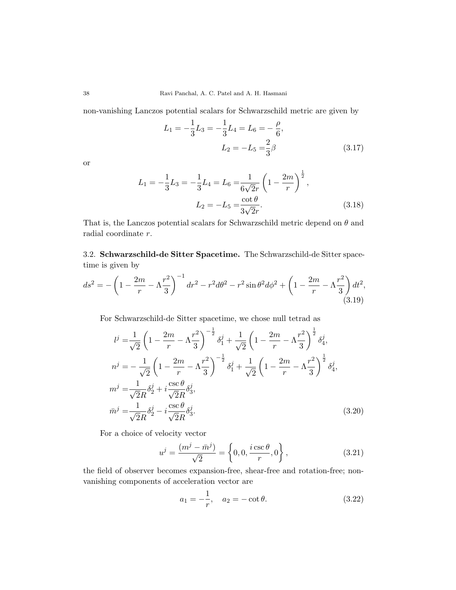non-vanishing Lanczos potential scalars for Schwarzschild metric are given by

$$
L_1 = -\frac{1}{3}L_3 = -\frac{1}{3}L_4 = L_6 = -\frac{\rho}{6},
$$
  

$$
L_2 = -L_5 = \frac{2}{3}\beta
$$
 (3.17)

or

$$
L_1 = -\frac{1}{3}L_3 = -\frac{1}{3}L_4 = L_6 = \frac{1}{6\sqrt{2}r} \left(1 - \frac{2m}{r}\right)^{\frac{1}{2}},
$$
  

$$
L_2 = -L_5 = \frac{\cot \theta}{3\sqrt{2}r}.
$$
 (3.18)

That is, the Lanczos potential scalars for Schwarzschild metric depend on  $\theta$  and radial coordinate r.

3.2. Schwarzschild-de Sitter Spacetime. The Schwarzschild-de Sitter spacetime is given by

$$
ds^{2} = -\left(1 - \frac{2m}{r} - \Lambda\frac{r^{2}}{3}\right)^{-1} dr^{2} - r^{2} d\theta^{2} - r^{2} \sin\theta^{2} d\phi^{2} + \left(1 - \frac{2m}{r} - \Lambda\frac{r^{2}}{3}\right) dt^{2},
$$
\n(3.19)

For Schwarzschild-de Sitter spacetime, we chose null tetrad as

$$
l^{j} = \frac{1}{\sqrt{2}} \left( 1 - \frac{2m}{r} - \Lambda \frac{r^{2}}{3} \right)^{-\frac{1}{2}} \delta_{1}^{j} + \frac{1}{\sqrt{2}} \left( 1 - \frac{2m}{r} - \Lambda \frac{r^{2}}{3} \right)^{\frac{1}{2}} \delta_{4}^{j},
$$
  
\n
$$
n^{j} = -\frac{1}{\sqrt{2}} \left( 1 - \frac{2m}{r} - \Lambda \frac{r^{2}}{3} \right)^{-\frac{1}{2}} \delta_{1}^{j} + \frac{1}{\sqrt{2}} \left( 1 - \frac{2m}{r} - \Lambda \frac{r^{2}}{3} \right)^{\frac{1}{2}} \delta_{4}^{j},
$$
  
\n
$$
m^{j} = \frac{1}{\sqrt{2}R} \delta_{2}^{j} + i \frac{\csc \theta}{\sqrt{2}R} \delta_{3}^{j},
$$
  
\n
$$
\bar{m}^{j} = \frac{1}{\sqrt{2}R} \delta_{2}^{j} - i \frac{\csc \theta}{\sqrt{2}R} \delta_{3}^{j}.
$$
\n(3.20)

For a choice of velocity vector

$$
u^{j} = \frac{(m^{j} - \bar{m}^{j})}{\sqrt{2}} = \left\{0, 0, \frac{i \csc \theta}{r}, 0\right\},
$$
\n(3.21)

the field of observer becomes expansion-free, shear-free and rotation-free; nonvanishing components of acceleration vector are

$$
a_1 = -\frac{1}{r}, \quad a_2 = -\cot\theta. \tag{3.22}
$$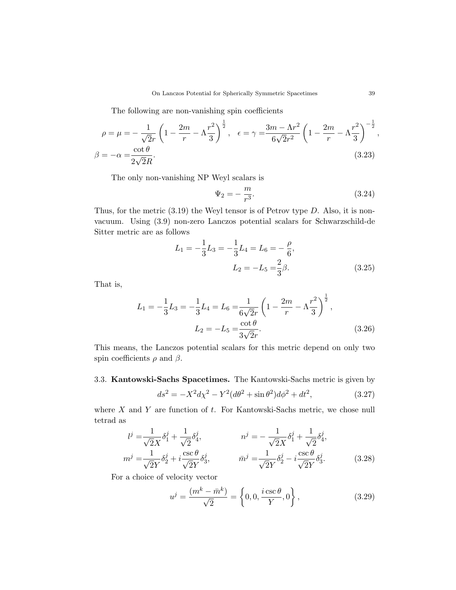The following are non-vanishing spin coefficients

$$
\rho = \mu = -\frac{1}{\sqrt{2}r} \left( 1 - \frac{2m}{r} - \Lambda \frac{r^2}{3} \right)^{\frac{1}{2}}, \quad \epsilon = \gamma = \frac{3m - \Lambda r^2}{6\sqrt{2}r^2} \left( 1 - \frac{2m}{r} - \Lambda \frac{r^2}{3} \right)^{-\frac{1}{2}},
$$
  

$$
\beta = -\alpha = \frac{\cot \theta}{2\sqrt{2}R}.
$$
 (3.23)

The only non-vanishing NP Weyl scalars is

$$
\Psi_2 = -\frac{m}{r^3}.\tag{3.24}
$$

Thus, for the metric  $(3.19)$  the Weyl tensor is of Petrov type D. Also, it is nonvacuum. Using (3.9) non-zero Lanczos potential scalars for Schwarzschild-de Sitter metric are as follows

$$
L_1 = -\frac{1}{3}L_3 = -\frac{1}{3}L_4 = L_6 = -\frac{\rho}{6},
$$
  

$$
L_2 = -L_5 = \frac{2}{3}\beta.
$$
 (3.25)

That is,

$$
L_1 = -\frac{1}{3}L_3 = -\frac{1}{3}L_4 = L_6 = \frac{1}{6\sqrt{2}r} \left(1 - \frac{2m}{r} - \Lambda \frac{r^2}{3}\right)^{\frac{1}{2}},
$$
  

$$
L_2 = -L_5 = \frac{\cot \theta}{3\sqrt{2}r}.
$$
 (3.26)

This means, the Lanczos potential scalars for this metric depend on only two spin coefficients  $\rho$  and  $\beta$ .

# 3.3. Kantowski-Sachs Spacetimes. The Kantowski-Sachs metric is given by

$$
ds^{2} = -X^{2}d\chi^{2} - Y^{2}(d\theta^{2} + \sin\theta^{2})d\phi^{2} + dt^{2},
$$
\t(3.27)

where  $X$  and  $Y$  are function of  $t$ . For Kantowski-Sachs metric, we chose null tetrad as

$$
l^j = \frac{1}{\sqrt{2}X} \delta_1^j + \frac{1}{\sqrt{2}} \delta_4^j, \qquad n^j = -\frac{1}{\sqrt{2}X} \delta_1^j + \frac{1}{\sqrt{2}} \delta_4^j,
$$
  
\n
$$
m^j = \frac{1}{\sqrt{2}Y} \delta_2^j + i \frac{\csc \theta}{\sqrt{2}Y} \delta_3^j, \qquad \bar{m}^j = \frac{1}{\sqrt{2}Y} \delta_2^j - i \frac{\csc \theta}{\sqrt{2}Y} \delta_3^j.
$$
\n(3.28)

For a choice of velocity vector

$$
u^{j} = \frac{(m^{k} - \bar{m}^{k})}{\sqrt{2}} = \left\{0, 0, \frac{i \csc \theta}{Y}, 0\right\},
$$
\n(3.29)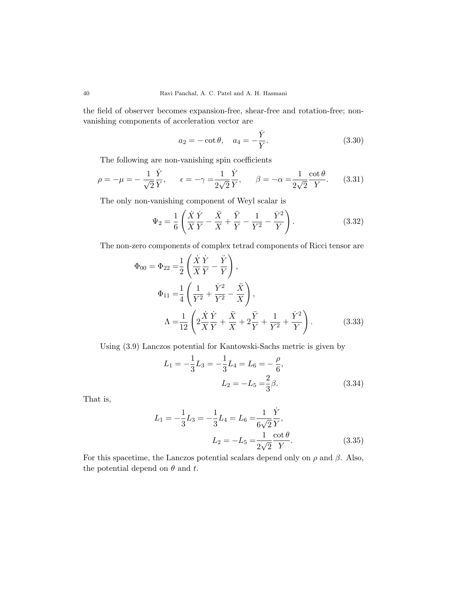the field of observer becomes expansion-free, shear-free and rotation-free; nonvanishing components of acceleration vector are

$$
a_2 = -\cot \theta, \quad a_4 = -\frac{\dot{Y}}{Y}.
$$
 (3.30)

The following are non-vanishing spin coefficients

$$
\rho = -\mu = -\frac{1}{\sqrt{2}} \frac{\dot{Y}}{Y}, \qquad \epsilon = -\gamma = \frac{1}{2\sqrt{2}} \frac{\dot{Y}}{Y}, \qquad \beta = -\alpha = \frac{1}{2\sqrt{2}} \frac{\cot \theta}{Y}.
$$
 (3.31)

The only non-vanishing component of Weyl scalar is

$$
\Psi_2 = \frac{1}{6} \left( \frac{\dot{X}}{X} \frac{\dot{Y}}{Y} - \frac{\ddot{X}}{X} + \frac{\ddot{Y}}{Y} - \frac{1}{Y^2} - \frac{\dot{Y}^2}{Y} \right).
$$
 (3.32)

The non-zero components of complex tetrad components of Ricci tensor are

$$
\Phi_{00} = \Phi_{22} = \frac{1}{2} \left( \frac{\dot{X}}{X} \frac{\dot{Y}}{Y} - \frac{\ddot{Y}}{Y} \right),
$$
  
\n
$$
\Phi_{11} = \frac{1}{4} \left( \frac{1}{Y^2} + \frac{\dot{Y}^2}{Y^2} - \frac{\ddot{X}}{X} \right),
$$
  
\n
$$
\Lambda = \frac{1}{12} \left( 2 \frac{\dot{X}}{X} \frac{\dot{Y}}{Y} + \frac{\ddot{X}}{X} + 2 \frac{\ddot{Y}}{Y} + \frac{1}{Y^2} + \frac{\dot{Y}^2}{Y} \right).
$$
 (3.33)

Using (3.9) Lanczos potential for Kantowski-Sachs metric is given by

$$
L_1 = -\frac{1}{3}L_3 = -\frac{1}{3}L_4 = L_6 = -\frac{\rho}{6},
$$
  

$$
L_2 = -L_5 = \frac{2}{3}\beta.
$$
 (3.34)

That is,

$$
L_1 = -\frac{1}{3}L_3 = -\frac{1}{3}L_4 = L_6 = \frac{1}{6\sqrt{2}}\frac{\dot{Y}}{Y},
$$
  

$$
L_2 = -L_5 = \frac{1}{2\sqrt{2}}\frac{\cot\theta}{Y}.
$$
 (3.35)

For this spacetime, the Lanczos potential scalars depend only on  $\rho$  and  $\beta$ . Also, the potential depend on  $\theta$  and  $t$ .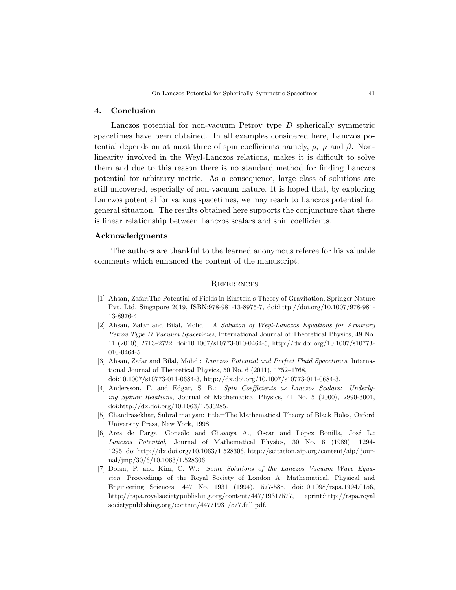## 4. Conclusion

Lanczos potential for non-vacuum Petrov type D spherically symmetric spacetimes have been obtained. In all examples considered here, Lanczos potential depends on at most three of spin coefficients namely,  $\rho$ ,  $\mu$  and  $\beta$ . Nonlinearity involved in the Weyl-Lanczos relations, makes it is difficult to solve them and due to this reason there is no standard method for finding Lanczos potential for arbitrary metric. As a consequence, large class of solutions are still uncovered, especially of non-vacuum nature. It is hoped that, by exploring Lanczos potential for various spacetimes, we may reach to Lanczos potential for general situation. The results obtained here supports the conjuncture that there is linear relationship between Lanczos scalars and spin coefficients.

### Acknowledgments

The authors are thankful to the learned anonymous referee for his valuable comments which enhanced the content of the manuscript.

#### **REFERENCES**

- [1] Ahsan, Zafar:The Potential of Fields in Einstein's Theory of Gravitation, Springer Nature Pvt. Ltd. Singapore 2019, ISBN:978-981-13-8975-7, doi:http://doi.org/10.1007/978-981- 13-8976-4.
- [2] Ahsan, Zafar and Bilal, Mohd.: A Solution of Weyl-Lanczos Equations for Arbitrary Petrov Type D Vacuum Spacetimes, International Journal of Theoretical Physics, 49 No. 11 (2010), 2713–2722, doi:10.1007/s10773-010-0464-5, http://dx.doi.org/10.1007/s10773- 010-0464-5.
- [3] Ahsan, Zafar and Bilal, Mohd.: Lanczos Potential and Perfect Fluid Spacetimes, International Journal of Theoretical Physics, 50 No. 6 (2011), 1752–1768, doi:10.1007/s10773-011-0684-3, http://dx.doi.org/10.1007/s10773-011-0684-3.
- [4] Andersson, F. and Edgar, S. B.: Spin Coefficients as Lanczos Scalars: Underlying Spinor Relations, Journal of Mathematical Physics, 41 No. 5 (2000), 2990-3001, doi:http://dx.doi.org/10.1063/1.533285.
- [5] Chandrasekhar, Subrahmanyan: title=The Mathematical Theory of Black Holes, Oxford University Press, New York, 1998.
- [6] Ares de Parga, Gonzálo and Chavoya A., Oscar and López Bonilla, José L.: Lanczos Potential, Journal of Mathematical Physics, 30 No. 6 (1989), 1294- 1295, doi:http://dx.doi.org/10.1063/1.528306, http://scitation.aip.org/content/aip/ journal/jmp/30/6/10.1063/1.528306.
- [7] Dolan, P. and Kim, C. W.: Some Solutions of the Lanczos Vacuum Wave Equation, Proceedings of the Royal Society of London A: Mathematical, Physical and Engineering Sciences, 447 No. 1931 (1994), 577-585, doi:10.1098/rspa.1994.0156, http://rspa.royalsocietypublishing.org/content/447/1931/577, eprint:http://rspa.royal societypublishing.org/content/447/1931/577.full.pdf.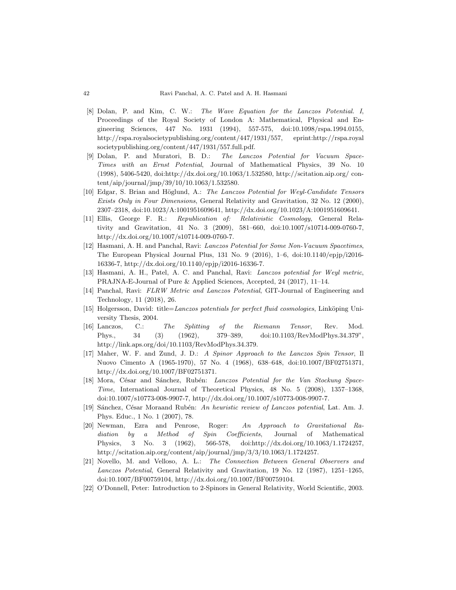- [8] Dolan, P. and Kim, C. W.: The Wave Equation for the Lanczos Potential. I, Proceedings of the Royal Society of London A: Mathematical, Physical and Engineering Sciences, 447 No. 1931 (1994), 557-575, doi:10.1098/rspa.1994.0155, http://rspa.royalsocietypublishing.org/content/447/1931/557, eprint:http://rspa.royal societypublishing.org/content/447/1931/557.full.pdf.
- [9] Dolan, P. and Muratori, B. D.: The Lanczos Potential for Vacuum Space-Times with an Ernst Potential, Journal of Mathematical Physics, 39 No. 10 (1998), 5406-5420, doi:http://dx.doi.org/10.1063/1.532580, http://scitation.aip.org/ content/aip/journal/jmp/39/10/10.1063/1.532580.
- [10] Edgar, S. Brian and Höglund, A.: The Lanczos Potential for Weyl-Candidate Tensors Exists Only in Four Dimensions, General Relativity and Gravitation, 32 No. 12 (2000), 2307–2318, doi:10.1023/A:1001951609641, http://dx.doi.org/10.1023/A:1001951609641.
- [11] Ellis, George F. R.: Republication of: Relativistic Cosmology, General Relativity and Gravitation, 41 No. 3 (2009), 581–660, doi:10.1007/s10714-009-0760-7, http://dx.doi.org/10.1007/s10714-009-0760-7.
- [12] Hasmani, A. H. and Panchal, Ravi: Lanczos Potential for Some Non-Vacuum Spacetimes, The European Physical Journal Plus, 131 No. 9 (2016), 1–6, doi:10.1140/epjp/i2016- 16336-7, http://dx.doi.org/10.1140/epjp/i2016-16336-7.
- [13] Hasmani, A. H., Patel, A. C. and Panchal, Ravi: Lanczos potential for Weyl metric, PRAJNA-E-Journal of Pure & Applied Sciences, Accepted, 24 (2017), 11–14.
- [14] Panchal, Ravi: FLRW Metric and Lanczos Potential, GIT-Journal of Engineering and Technology, 11 (2018), 26.
- $[15]$  Holgersson, David: title=Lanczos potentials for perfect fluid cosmologies, Linköping University Thesis, 2004.
- [16] Lanczos, C.: The Splitting of the Riemann Tensor, Rev. Mod. Phys., 34 (3) (1962), 379–389, doi:10.1103/RevModPhys.34.379", http://link.aps.org/doi/10.1103/RevModPhys.34.379.
- [17] Maher, W. F. and Zund, J. D.: A Spinor Approach to the Lanczos Spin Tensor, Il Nuovo Cimento A (1965-1970), 57 No. 4 (1968), 638–648, doi:10.1007/BF02751371, http://dx.doi.org/10.1007/BF02751371.
- [18] Mora, César and Sánchez, Rubén: Lanczos Potential for the Van Stockung Space-Time, International Journal of Theoretical Physics, 48 No. 5 (2008), 1357–1368, doi:10.1007/s10773-008-9907-7, http://dx.doi.org/10.1007/s10773-008-9907-7.
- [19] Sánchez, César Moraand Rubén: An heuristic review of Lanczos potential, Lat. Am. J. Phys. Educ., 1 No. 1 (2007), 78.
- [20] Newman, Ezra and Penrose, Roger: An Approach to Gravitational Radiation by a Method of Spin Coefficients, Journal of Mathematical Physics, 3 No. 3 (1962), 566-578, doi:http://dx.doi.org/10.1063/1.1724257, http://scitation.aip.org/content/aip/journal/jmp/3/3/10.1063/1.1724257.
- [21] Novello, M. and Velloso, A. L.: The Connection Between General Observers and Lanczos Potential, General Relativity and Gravitation, 19 No. 12 (1987), 1251–1265, doi:10.1007/BF00759104, http://dx.doi.org/10.1007/BF00759104.
- [22] O'Donnell, Peter: Introduction to 2-Spinors in General Relativity, World Scientific, 2003.